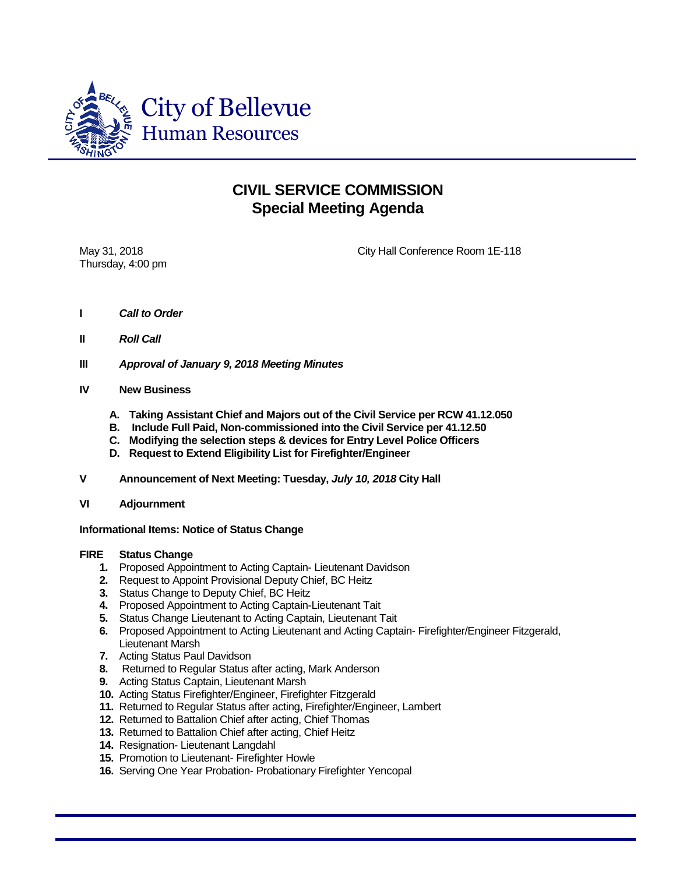

## **CIVIL SERVICE COMMISSION Special Meeting Agenda**

Thursday, 4:00 pm

May 31, 2018 City Hall Conference Room 1E-118

- **I** *Call to Order*
- **II** *Roll Call*
- **III** *Approval of January 9, 2018 Meeting Minutes*
- **IV New Business**
	- **A. Taking Assistant Chief and Majors out of the Civil Service per RCW 41.12.050**
	- **B. Include Full Paid, Non-commissioned into the Civil Service per 41.12.50**
	- **C. Modifying the selection steps & devices for Entry Level Police Officers**
	- **D. Request to Extend Eligibility List for Firefighter/Engineer**
- **V Announcement of Next Meeting: Tuesday,** *July 10, 2018* **City Hall**
- **VI Adjournment**

**Informational Items: Notice of Status Change**

## **FIRE Status Change**

- **1.** Proposed Appointment to Acting Captain- Lieutenant Davidson
- **2.** Request to Appoint Provisional Deputy Chief, BC Heitz
- **3.** Status Change to Deputy Chief, BC Heitz
- **4.** Proposed Appointment to Acting Captain-Lieutenant Tait
- **5.** Status Change Lieutenant to Acting Captain, Lieutenant Tait
- **6.** Proposed Appointment to Acting Lieutenant and Acting Captain- Firefighter/Engineer Fitzgerald, Lieutenant Marsh
- **7.** Acting Status Paul Davidson
- **8.** Returned to Regular Status after acting, Mark Anderson
- **9.** Acting Status Captain, Lieutenant Marsh
- **10.** Acting Status Firefighter/Engineer, Firefighter Fitzgerald
- **11.** Returned to Regular Status after acting, Firefighter/Engineer, Lambert
- **12.** Returned to Battalion Chief after acting, Chief Thomas
- **13.** Returned to Battalion Chief after acting, Chief Heitz
- **14.** Resignation- Lieutenant Langdahl
- **15.** Promotion to Lieutenant- Firefighter Howle
- **16.** Serving One Year Probation- Probationary Firefighter Yencopal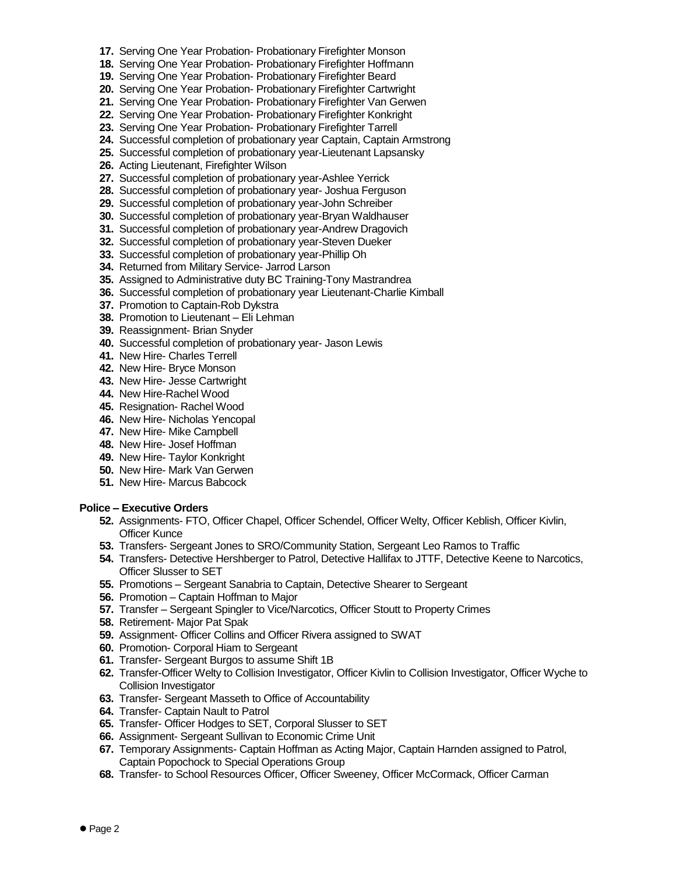- **17.** Serving One Year Probation- Probationary Firefighter Monson
- **18.** Serving One Year Probation- Probationary Firefighter Hoffmann
- **19.** Serving One Year Probation- Probationary Firefighter Beard
- **20.** Serving One Year Probation- Probationary Firefighter Cartwright
- **21.** Serving One Year Probation- Probationary Firefighter Van Gerwen
- **22.** Serving One Year Probation- Probationary Firefighter Konkright
- **23.** Serving One Year Probation- Probationary Firefighter Tarrell
- **24.** Successful completion of probationary year Captain, Captain Armstrong
- **25.** Successful completion of probationary year-Lieutenant Lapsansky
- **26.** Acting Lieutenant, Firefighter Wilson
- **27.** Successful completion of probationary year-Ashlee Yerrick
- **28.** Successful completion of probationary year- Joshua Ferguson
- **29.** Successful completion of probationary year-John Schreiber
- **30.** Successful completion of probationary year-Bryan Waldhauser
- **31.** Successful completion of probationary year-Andrew Dragovich
- **32.** Successful completion of probationary year-Steven Dueker
- **33.** Successful completion of probationary year-Phillip Oh
- **34.** Returned from Military Service- Jarrod Larson
- **35.** Assigned to Administrative duty BC Training-Tony Mastrandrea
- **36.** Successful completion of probationary year Lieutenant-Charlie Kimball
- **37.** Promotion to Captain-Rob Dykstra
- **38.** Promotion to Lieutenant Eli Lehman
- **39.** Reassignment- Brian Snyder
- **40.** Successful completion of probationary year- Jason Lewis
- **41.** New Hire- Charles Terrell
- **42.** New Hire- Bryce Monson
- **43.** New Hire- Jesse Cartwright
- **44.** New Hire-Rachel Wood
- **45.** Resignation- Rachel Wood
- **46.** New Hire- Nicholas Yencopal
- **47.** New Hire- Mike Campbell
- **48.** New Hire- Josef Hoffman
- **49.** New Hire- Taylor Konkright
- **50.** New Hire- Mark Van Gerwen
- **51.** New Hire- Marcus Babcock

## **Police – Executive Orders**

- **52.** Assignments- FTO, Officer Chapel, Officer Schendel, Officer Welty, Officer Keblish, Officer Kivlin, Officer Kunce
- **53.** Transfers- Sergeant Jones to SRO/Community Station, Sergeant Leo Ramos to Traffic
- **54.** Transfers- Detective Hershberger to Patrol, Detective Hallifax to JTTF, Detective Keene to Narcotics, Officer Slusser to SET
- **55.** Promotions Sergeant Sanabria to Captain, Detective Shearer to Sergeant
- **56.** Promotion Captain Hoffman to Major
- **57.** Transfer Sergeant Spingler to Vice/Narcotics, Officer Stoutt to Property Crimes
- **58.** Retirement- Major Pat Spak
- **59.** Assignment- Officer Collins and Officer Rivera assigned to SWAT
- **60.** Promotion- Corporal Hiam to Sergeant
- **61.** Transfer- Sergeant Burgos to assume Shift 1B
- **62.** Transfer-Officer Welty to Collision Investigator, Officer Kivlin to Collision Investigator, Officer Wyche to Collision Investigator
- **63.** Transfer- Sergeant Masseth to Office of Accountability
- **64.** Transfer- Captain Nault to Patrol
- **65.** Transfer- Officer Hodges to SET, Corporal Slusser to SET
- **66.** Assignment- Sergeant Sullivan to Economic Crime Unit
- **67.** Temporary Assignments- Captain Hoffman as Acting Major, Captain Harnden assigned to Patrol, Captain Popochock to Special Operations Group
- **68.** Transfer- to School Resources Officer, Officer Sweeney, Officer McCormack, Officer Carman